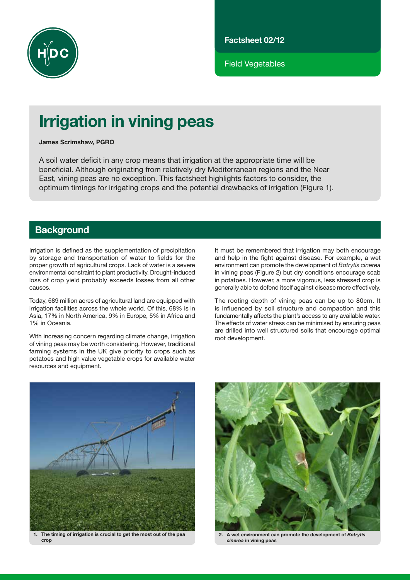

Factsheet 02/12

Field Vegetables

# Irrigation in vining peas

James Scrimshaw, PGRO

A soil water deficit in any crop means that irrigation at the appropriate time will be beneficial. Although originating from relatively dry Mediterranean regions and the Near East, vining peas are no exception. This factsheet highlights factors to consider, the optimum timings for irrigating crops and the potential drawbacks of irrigation (Figure 1).

# **Background**

Irrigation is defined as the supplementation of precipitation by storage and transportation of water to fields for the proper growth of agricultural crops. Lack of water is a severe environmental constraint to plant productivity. Drought-induced loss of crop yield probably exceeds losses from all other causes.

Today, 689 million acres of agricultural land are equipped with irrigation facilities across the whole world. Of this, 68% is in Asia, 17% in North America, 9% in Europe, 5% in Africa and 1% in Oceania.

With increasing concern regarding climate change, irrigation of vining peas may be worth considering. However, traditional farming systems in the UK give priority to crops such as potatoes and high value vegetable crops for available water resources and equipment.

It must be remembered that irrigation may both encourage and help in the fight against disease. For example, a wet environment can promote the development of *Botrytis cinerea*  in vining peas (Figure 2) but dry conditions encourage scab in potatoes. However, a more vigorous, less stressed crop is generally able to defend itself against disease more effectively.

The rooting depth of vining peas can be up to 80cm. It is influenced by soil structure and compaction and this fundamentally affects the plant's access to any available water. The effects of water stress can be minimised by ensuring peas are drilled into well structured soils that encourage optimal root development.



1. The timing of irrigation is crucial to get the most out of the pea crop



2. A wet environment can promote the development of *Botrytis cinerea* in vining peas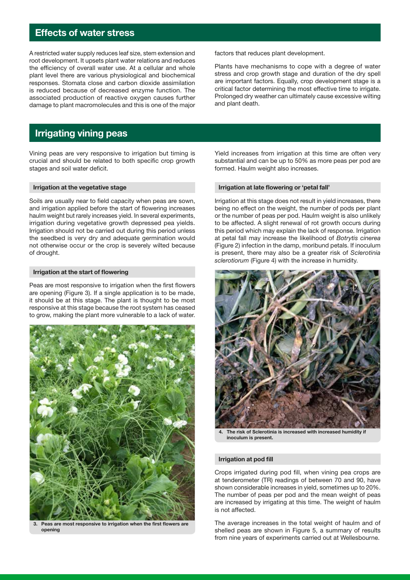# Effects of water stress

A restricted water supply reduces leaf size, stem extension and root development. It upsets plant water relations and reduces the efficiency of overall water use. At a cellular and whole plant level there are various physiological and biochemical responses. Stomata close and carbon dioxide assimilation is reduced because of decreased enzyme function. The associated production of reactive oxygen causes further damage to plant macromolecules and this is one of the major

# Irrigating vining peas

Vining peas are very responsive to irrigation but timing is crucial and should be related to both specific crop growth stages and soil water deficit.

#### Irrigation at the vegetative stage

Soils are usually near to field capacity when peas are sown, and irrigation applied before the start of flowering increases haulm weight but rarely increases yield. In several experiments, irrigation during vegetative growth depressed pea yields. Irrigation should not be carried out during this period unless the seedbed is very dry and adequate germination would not otherwise occur or the crop is severely wilted because of drought.

#### Irrigation at the start of flowering

Peas are most responsive to irrigation when the first flowers are opening (Figure 3). If a single application is to be made, it should be at this stage. The plant is thought to be most responsive at this stage because the root system has ceased to grow, making the plant more vulnerable to a lack of water.



3. Peas are most responsive to irrigation when the first flowers are opening

factors that reduces plant development.

Plants have mechanisms to cope with a degree of water stress and crop growth stage and duration of the dry spell are important factors. Equally, crop development stage is a critical factor determining the most effective time to irrigate. Prolonged dry weather can ultimately cause excessive wilting and plant death.

Yield increases from irrigation at this time are often very substantial and can be up to 50% as more peas per pod are formed. Haulm weight also increases.

#### Irrigation at late flowering or 'petal fall'

Irrigation at this stage does not result in yield increases, there being no effect on the weight, the number of pods per plant or the number of peas per pod. Haulm weight is also unlikely to be affected. A slight renewal of rot growth occurs during this period which may explain the lack of response. Irrigation at petal fall may increase the likelihood of *Botrytis cinerea* (Figure 2) infection in the damp, moribund petals. If inoculum is present, there may also be a greater risk of *Sclerotinia sclerotiorum* (Figure 4) with the increase in humidity.



The risk of Sclerotinia is increased with increased humidity if inoculum is present.

#### Irrigation at pod fill

Crops irrigated during pod fill, when vining pea crops are at tenderometer (TR) readings of between 70 and 90, have shown considerable increases in yield, sometimes up to 20%. The number of peas per pod and the mean weight of peas are increased by irrigating at this time. The weight of haulm is not affected.

The average increases in the total weight of haulm and of shelled peas are shown in Figure 5, a summary of results from nine years of experiments carried out at Wellesbourne.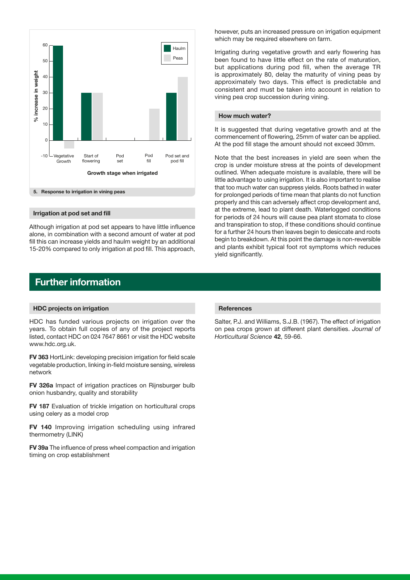

#### Irrigation at pod set and fill

Although irrigation at pod set appears to have little influence alone, in combination with a second amount of water at pod fill this can increase yields and haulm weight by an additional 15-20% compared to only irrigation at pod fill. This approach,

### Further information

#### HDC projects on irrigation

HDC has funded various projects on irrigation over the years. To obtain full copies of any of the project reports listed, contact HDC on 024 7647 8661 or visit the HDC website www.hdc.org.uk.

FV 363 HortLink: developing precision irrigation for field scale vegetable production, linking in-field moisture sensing, wireless network

FV 326a Impact of irrigation practices on Rijnsburger bulb onion husbandry, quality and storability

FV 187 Evaluation of trickle irrigation on horticultural crops using celery as a model crop

FV 140 Improving irrigation scheduling using infrared thermometry (LINK)

FV 39a The influence of press wheel compaction and irrigation timing on crop establishment

however, puts an increased pressure on irrigation equipment which may be required elsewhere on farm.

Irrigating during vegetative growth and early flowering has been found to have little effect on the rate of maturation, but applications during pod fill, when the average TR is approximately 80, delay the maturity of vining peas by approximately two days. This effect is predictable and consistent and must be taken into account in relation to vining pea crop succession during vining.

#### How much water?

It is suggested that during vegetative growth and at the commencement of flowering, 25mm of water can be applied. At the pod fill stage the amount should not exceed 30mm.

Note that the best increases in yield are seen when the crop is under moisture stress at the points of development outlined. When adequate moisture is available, there will be little advantage to using irrigation. It is also important to realise that too much water can suppress yields. Roots bathed in water for prolonged periods of time mean that plants do not function properly and this can adversely affect crop development and, at the extreme, lead to plant death. Waterlogged conditions for periods of 24 hours will cause pea plant stomata to close and transpiration to stop, if these conditions should continue for a further 24 hours then leaves begin to desiccate and roots begin to breakdown. At this point the damage is non-reversible and plants exhibit typical foot rot symptoms which reduces yield significantly.

#### References

Salter, P.J. and Williams, S.J.B. (1967). The effect of irrigation on pea crops grown at different plant densities. *Journal of Horticultural Science* 42, 59-66.